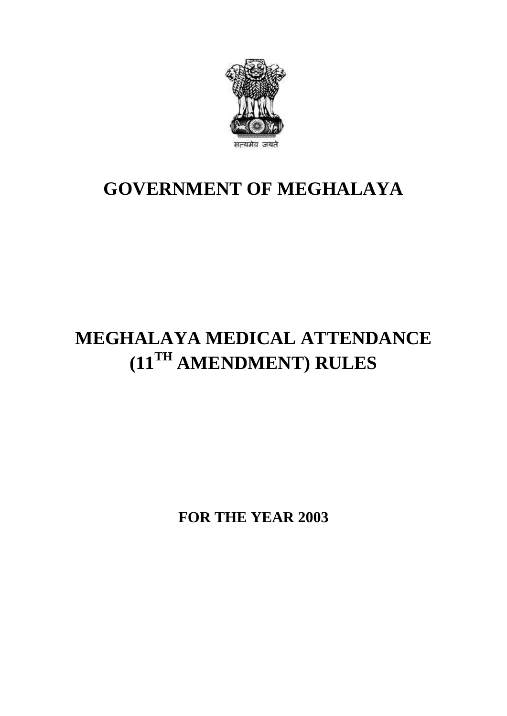

# **GOVERNMENT OF MEGHALAYA**

# **MEGHALAYA MEDICAL ATTENDANCE (11TH AMENDMENT) RULES**

**FOR THE YEAR 2003**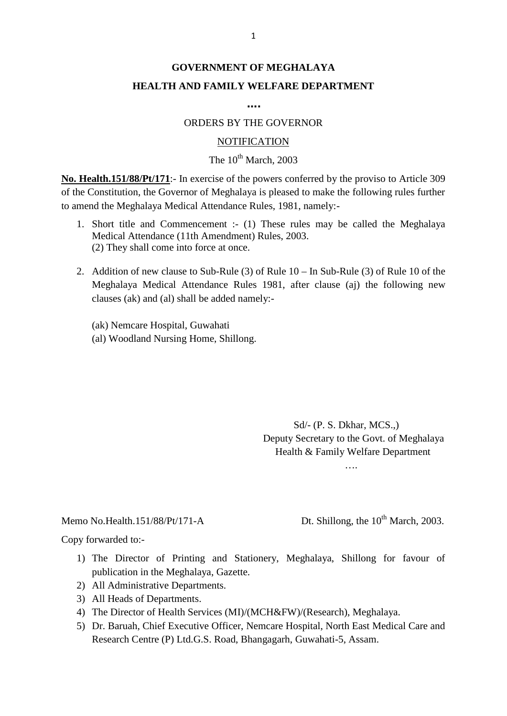# **GOVERNMENT OF MEGHALAYA HEALTH AND FAMILY WELFARE DEPARTMENT**

**….**

### ORDERS BY THE GOVERNOR

### NOTIFICATION

# The  $10^{th}$  March, 2003

**NOTIFICATION**<br>The 10<sup>th</sup> March, 2003<br>**No. Health.151/88/Pt/171**:- In exercise of the powers conferred by the proviso to Article 309<br>of the Constitution, the Governor of Meghalaya is pleased to make the following rules fur of the Constitution, the Governor of Meghalaya is pleased to make the following rules further to amend the Meghalaya Medical Attendance Rules, 1981, namely:- **1. Short title and Commencement is a set of the powers conferred by the proviso to Article 309**<br>the Constitution, the Governor of Meghalaya is pleased to make the following rules further<br>mend the Meghalaya Medical Attenda **alth.151/88/Pt/171**:- In exercise of the powers conferred Constitution, the Governor of Meghalaya is pleased to mal<br>and the Meghalaya Medical Attendance Rules, 1981, namel<br>Short title and Commencement :- (1) These rules m

- (2) They shall come into force at once. 2. Addition of new clause to Sub-Rule (3) of Rule 10 – In Sub-Rule (3) of Rule 10 of the Meghalaya Medical Attendance (11th Amendment) Rules, 2003.<br>
2. Addition of new clause to Sub-Rule (3) of Rule 10 – In Sub-Rule (3) o
- Short title and Commencement :- (1) These rules may be called the Meghalaya<br>Medical Attendance (11th Amendment) Rules, 2003.<br>(2) They shall come into force at once.<br>Addition of new clause to Sub-Rule (3) of Rule 10 In Su Medical Attendance (11th Amendment) Rules, 200<br>(2) They shall come into force at once.<br>Addition of new clause to Sub-Rule (3) of Rule 10<br>Meghalaya Medical Attendance Rules 1981, af<br>clauses (ak) and (al) shall be added name Meghalaya Medical Attendance Rules 1981, after clause (aj) the following new clauses (ak) and (al) shall be added namely:-<br>(ak) Nemcare Hospital, Guwahati (al) Woodland Nursing Home, Shillong.

(ak) Nemcare Hospital, Guwahati

Sd/- (P. S. Dkhar, MCS.,) Deputy Secretary to the Govt. of Meghalaya Health & Family Welfare Department

….

# Memo No.Health.151/88/<br>Copy forwarded to:-<br>1) The Director of

....<br>Memo No.Health.151/88/Pt/171-A Dt. Shillong, the 10<sup>th</sup> March, 2003.<br>Copy forwarded to:-

- 1) The Director of Printing and Stationery, Meghalaya, Shillong for favour of publication in the Meghalaya, Gazette. publication in the Meghalaya, Gazette. by forwarded to:-<br>2) The Director of Printing and Stap<br>1) The Director of Printing and Stap<br>1) All Administrative Departments.<br>3) All Heads of Departments. by forwarded to:-<br>
1) The Director of Printing ar<br>
publication in the Meghalaya, C<br>
2) All Administrative Department<br>
3) All Heads of Departments.<br>
4) The Director of Health Services 4) The Director of Printing and Stationery, Meghalaya, Shillong for favor<br>
4) All Administrative Departments.<br>
4) All Heads of Departments.<br>
4) The Director of Health Services (MI)/(MCH&FW)/(Research), Meghalaya.<br>
5) Dr. B
- 
- 
- 5) All Administrative Departments.<br>
5) All Heads of Departments.<br>
4) The Director of Health Services (MI)/(MCH&FW)/(Research), Meghalaya.<br>
5) Dr. Baruah, Chief Executive Officer, Nemcare Hospital, North East Medical Care a
- Research Centre (P) Ltd.G.S. Road, Bhangagarh, Guwahati-5, Assam.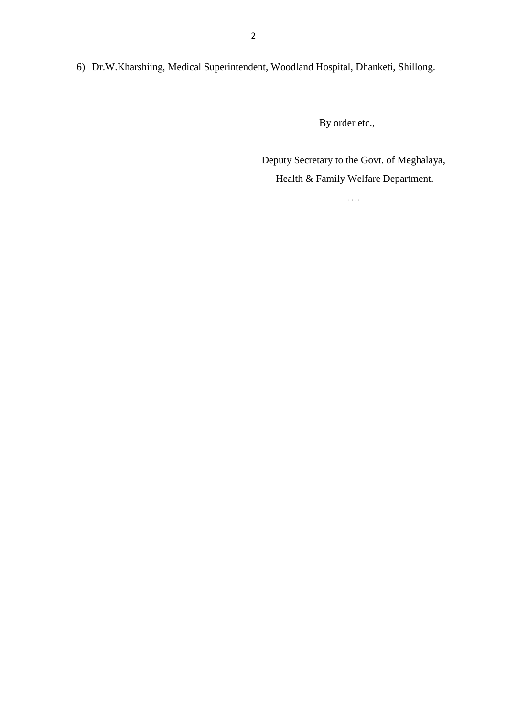6) Dr.W.Kharshiing, Medical Superintendent, Woodland Hospital, Dhanketi, Shillong.

By order etc.,

By order etc.,<br>Deputy Secretary to the Govt. of Meghalaya,<br>Health & Family Welfare Department. By order etc.,<br>
buty Secretary to the Govt. of Meghalaya,<br>
Health & Family Welfare Department.<br>
….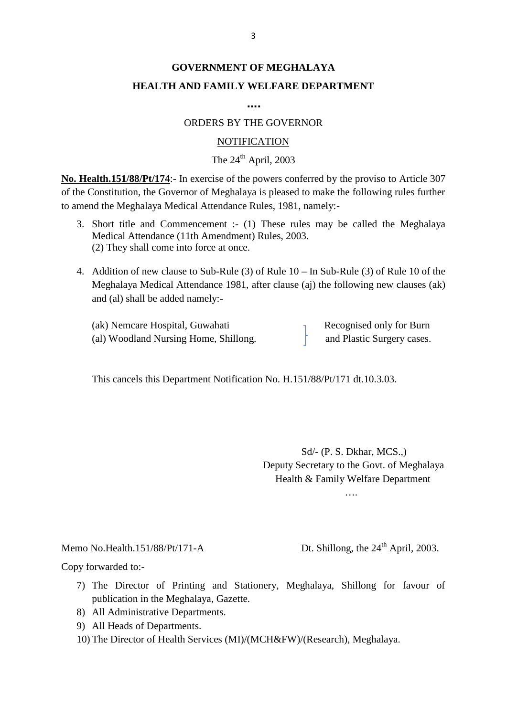# **GOVERNMENT OF MEGHALAYA HEALTH AND FAMILY WELFARE DEPARTMENT**

**….**

### ORDERS BY THE GOVERNOR

### NOTIFICATION

### The  $24<sup>th</sup>$  April, 2003

**NOTIFICATION**<br> **NOTIFICATION**<br>
The 24<sup>th</sup> April, 2003<br> **No. Health.151/88/Pt/174**:- In exercise of the powers conferred by the proviso to Article 307<br>
of the Constitution, the Governor of Meghalaya is pleased to make the of the Constitution, the Governor of Meghalaya is pleased to make the following rules further to amend the Meghalaya Medical Attendance Rules, 1981, namely:- **3.** Short title and Commencement :- (1) These rules may be called the Meghalaya Medical Attendance Rules, 1981, namely:-<br>3. Short title and Commencement :- (1) These rules may be called the Meghalaya Medical Attendance (1 **alth.151/88/Pt/174**:- In exercise of the powers conferred Constitution, the Governor of Meghalaya is pleased to mal<br>and the Meghalaya Medical Attendance Rules, 1981, namel<br>Short title and Commencement :- (1) These rules m

- (2) They shall come into force at once. 4. Addition of new clause to Sub-Rule (3) of Rule 10 – In Sub-Rule (3) of Rule 10 of the Meghalaya Medical Attendance (11th Amendment) Rules, 2003.<br>
4. Addition of new clause to Sub-Rule (3) of Rule 10 – In Sub-Rule (3) o
- Medical Attendance (11th Amendment) Rules, 2003.<br>
(2) They shall come into force at once.<br>
4. Addition of new clause to Sub-Rule (3) of Rule 10 In Sub-Rule (3) of Rule 10 of the Meghalaya Medical Attendance 1981, after and (al) shall be added namely:-

| (ak) Nemcare Hospital, Guwahati       | Recognised only for Burn   |
|---------------------------------------|----------------------------|
| (al) Woodland Nursing Home, Shillong. | and Plastic Surgery cases. |

This cancels this Department Notification No. H.151/88/Pt/171 dt.10.3.03.

Sd/- (P. S. Dkhar, MCS.,) Deputy Secretary to the Govt. of Meghalaya Health & Family Welfare Department

….

Memo No.Health.151/88/H<br>Copy forwarded to:-<br>7) The Director of

....<br>Memo No.Health.151/88/Pt/171-A Dt. Shillong, the 24<sup>th</sup> April, 2003.<br>Copy forwarded to:-

- 1) The Director of Printing and Stationery, Meghalaya, Shillong for favour of publication in the Meghalaya, Gazette. publication in the Meghalaya, Gazette. by forwarded to:-<br>
7) The Director of Printing and Sta<br>
publication in the Meghalaya, Gazetta<br>
8) All Administrative Departments.<br>
9) All Heads of Departments. by forwarded to:-<br>
7) The Director of Printing are publication in the Meghalaya, (<br>
8) All Administrative Department<br>
9) All Heads of Departments.<br>
10) The Director of Health Services 10) The Director of Printing and Stationery, Meghalaya, Shillong for<br>
10) All Administrative Departments.<br>
10) All Heads of Departments.<br>
10) The Director of Health Services (MI)/(MCH&FW)/(Research), Meghalaya.
- 
- 
-